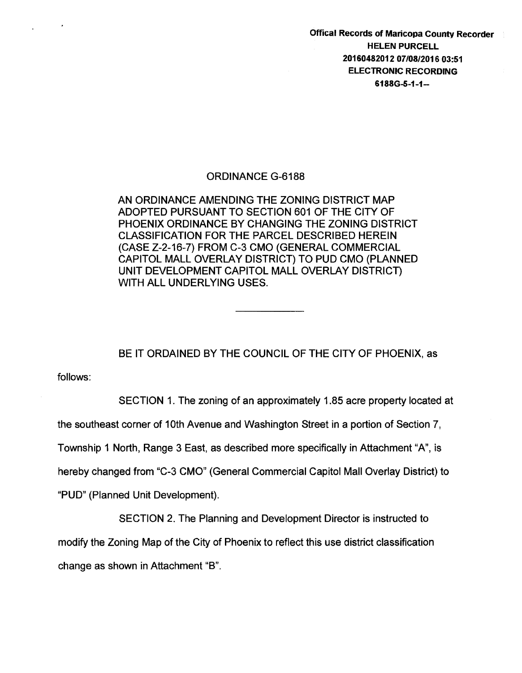Offical Records of Maricopa County Recorder HELEN PURCELL 20160482012 07/08/2016 03:51 ELECTRONIC RECORDING 6188G-S-1-1-

## ORDINANCE G-6188

AN ORDINANCE AMENDING THE ZONING DISTRICT MAP ADOPTED PURSUANT TO SECTION 601 OF THE CITY OF PHOENIX ORDINANCE BY CHANGING THE ZONING DISTRICT CLASSIFICATION FOR THE PARCEL DESCRIBED HEREIN (CASE Z-2-16-7) FROM C-3 CMO (GENERAL COMMERCIAL CAPITOL MALL OVERLAY DISTRICT) TO PUD CMO (PLANNED UNIT DEVELOPMENT CAPITOL MALL OVERLAY DISTRICT) WITH ALL UNDERLYING USES.

BE IT ORDAINED BY THE COUNCIL OF THE CITY OF PHOENIX, as

follows:

SECTION 1. The zoning of an approximately 1.85 acre property located at

the southeast corner of 10th Avenue and Washington Street in a portion of Section 7,

Township 1 North, Range 3 East, as described more specifically in Attachment "A", is

hereby changed from "C-3 CMO" (General Commercial Capitol Mall Overlay District) to

"PUD" (Planned Unit Development).

SECTION 2. The Planning and Development Director is instructed to

modify the Zoning Map of the City of Phoenix to reflect this use district classification change as shown in Attachment "B".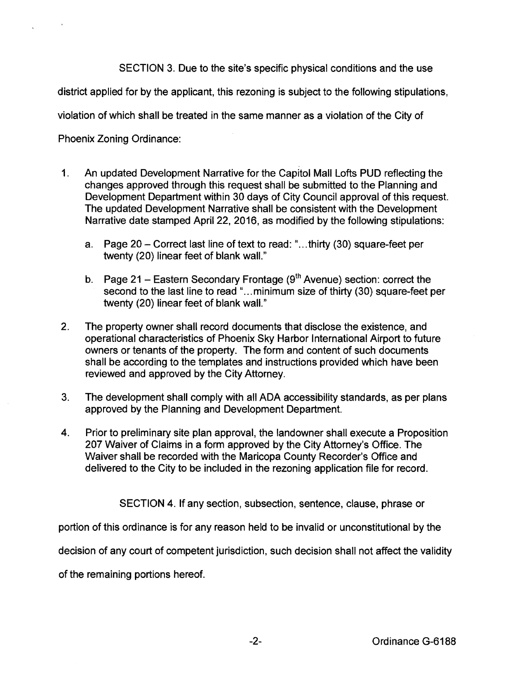SECTION 3. Due to the site's specific physical conditions and the use

district applied for by the applicant, this rezoning is subject to the following stipulations,

violation of which shall be treated in the same manner as a violation of the City of

Phoenix Zoning Ordinance:

- 1. An updated Development Narrative for the Capitol Mall Lofts PUD reflecting the changes approved through this request shall be submitted to the Planning and Development Department within 30 days of City Council approval of this request. The updated Development Narrative shall be consistent with the Development Narrative date stamped April 22, 2016, as modified by the following stipulations:
	- a. Page 20- Correct last line of text to read:" ... thirty (30) square-feet per twenty (20) linear feet of blank wall."
	- b. Page 21 Eastern Secondary Frontage ( $9<sup>th</sup>$  Avenue) section: correct the second to the last line to read "...minimum size of thirty (30) square-feet per twenty (20) linear feet of blank wall."
- 2. The property owner shall record documents that disclose the existence, and operational characteristics of Phoenix Sky Harbor International Airport to future owners or tenants of the property. The form and content of such documents shall be according to the templates and instructions provided which have been reviewed and approved by the City Attorney.
- 3. The development shall comply with all ADA accessibility standards, as per plans approved by the Planning and Development Department.
- 4. Prior to preliminary site plan approval, the landowner shall execute a Proposition 207 Waiver of Claims in a form approved by the City Attorney's Office. The Waiver shall be recorded with the Maricopa County Recorder's Office and delivered to the City to be included in the rezoning application file for record.

SECTION 4. If any section, subsection, sentence, clause, phrase or

portion of this ordinance is for any reason held to be invalid or unconstitutional by the

decision of any court of competent jurisdiction, such decision shall not affect the validity

of the remaining portions hereof.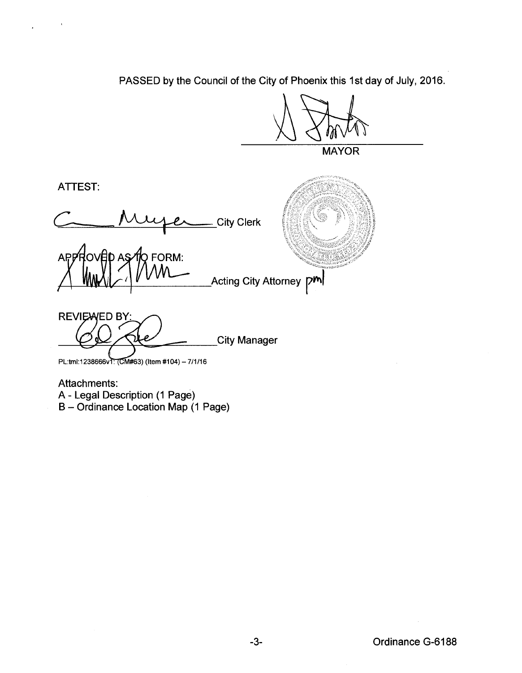PASSED by the Council of the City of Phoenix this 1st day of July, 2016.

MAYOR

ATTEST:

City Clerk

APPROVED AS TO FORM:<br>
MWW ACting City Attorney

**REVIEWED BY:** City Manager

PL:tml:1238666v1: (CM#63) (Item #104) - 7/1/16

Attachments: A- Legal Description (1 Page) B- Ordinance Location Map (1 Page)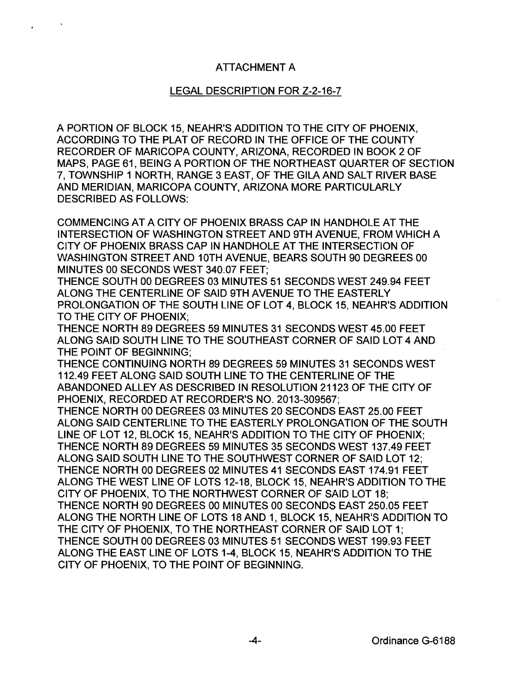## ATTACHMENT A

## LEGAL DESCRIPTION FOR Z-2-16-7

A PORTION OF BLOCK 15, NEAHR'S ADDITION TO THE CITY OF PHOENIX, ACCORDING TO THE PLAT OF RECORD IN THE OFFICE OF THE COUNTY RECORDER OF MARICOPA COUNTY, ARIZONA, RECORDED IN BOOK 2 OF MAPS, PAGE 61, BEING A PORTION OF THE NORTHEAST QUARTER OF SECTION 7, TOWNSHIP 1 NORTH, RANGE 3 EAST, OF THE GILA AND SALT RIVER BASE AND MERIDIAN, MARICOPA COUNTY, ARIZONA MORE PARTICULARLY DESCRIBED AS FOLLOWS:

COMMENCING AT A CITY OF PHOENIX BRASS CAP IN HANDHOLE AT THE INTERSECTION OF WASHINGTON STREET AND 9TH AVENUE, FROM WHICH A CITY OF PHOENIX BRASS CAP IN HANDHOLE AT THE INTERSECTION OF WASHINGTON STREET AND 10TH AVENUE, BEARS SOUTH 90 DEGREES 00 MINUTES 00 SECONDS WEST 340.07 FEET;

THENCE SOUTH 00 DEGREES 03 MINUTES 51 SECONDS WEST 249.94 FEET ALONG THE CENTERLINE OF SAID 9TH AVENUE TO THE EASTERLY PROLONGATION OF THE SOUTH LINE OF LOT 4, BLOCK 15, NEAHR'S ADDITION TO THE CITY OF PHOENIX;

THENCE NORTH 89 DEGREES 59 MINUTES 31 SECONDS WEST 45.00 FEET ALONG SAID SOUTH LINE TO THE SOUTHEAST CORNER OF SAID LOT 4 AND THE POINT OF BEGINNING;

THENCE CONTINUING NORTH 89 DEGREES 59 MINUTES 31 SECONDS WEST 112.49 FEET ALONG SAID SOUTH LINE TO THE CENTERLINE OF THE ABANDONED ALLEY AS DESCRIBED IN RESOLUTION 21123 OF THE CITY OF PHOENIX, RECORDED AT RECORDER'S NO. 2013-309567;

THENCE NORTH 00 DEGREES 03 MINUTES 20 SECONDS EAST 25.00 FEET ALONG SAID CENTERLINE TO THE EASTERLY PROLONGATION OF THE SOUTH LINE OF LOT 12, BLOCK 15, NEAHR'S ADDITION TO THE CITY OF PHOENIX; THENCE NORTH 89 DEGREES 59 MINUTES 35 SECONDS WEST 137.49 FEET ALONG SAID SOUTH LINE TO THE SOUTHWEST CORNER OF SAID LOT 12; THENCE NORTH 00 DEGREES 02 MINUTES 41 SECONDS EAST 174.91 FEET ALONG THE WEST LINE OF LOTS 12-18, BLOCK 15, NEAHR'S ADDITION TO THE CITY OF PHOENIX, TO THE NORTHWEST CORNER OF SAID LOT 18; THENCE NORTH 90 DEGREES 00 MINUTES 00 SECONDS EAST 250.05 FEET ALONG THE NORTH LINE OF LOTS 18 AND 1, BLOCK 15, NEAHR'S ADDITION TO THE CITY OF PHOENIX, TO THE NORTHEAST CORNER OF SAID LOT 1; THENCE SOUTH 00 DEGREES 03 MINUTES 51 SECONDS WEST 199.93 FEET ALONG THE EAST LINE OF LOTS 1-4, BLOCK 15, NEAHR'S ADDITION TO THE CITY OF PHOENIX, TO THE POINT OF BEGINNING.